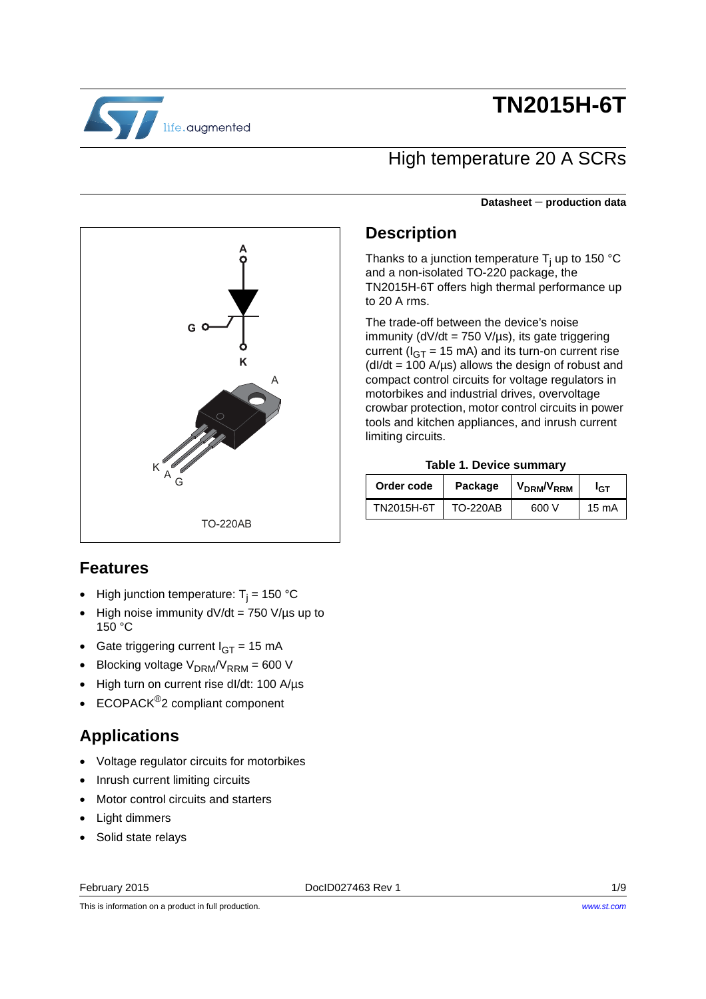

# **TN2015H-6T**

### High temperature 20 A SCRs

Thanks to a junction temperature T<sub>j</sub> up to 150 °C

TN2015H-6T offers high thermal performance up

**Table 1. Device summary Order code** Package V<sub>DRM</sub>/V<sub>RRM</sub> I<sub>GT</sub> TN2015H-6T | TO-220AB | 600 V | 15 mA

and a non-isolated TO-220 package, the

The trade-off between the device's noise immunity ( $dV/dt = 750 V/\mu s$ ), its gate triggering current ( $I_{GT}$  = 15 mA) and its turn-on current rise  $(dI/dt = 100 \text{ A/µs})$  allows the design of robust and compact control circuits for voltage regulators in motorbikes and industrial drives, overvoltage crowbar protection, motor control circuits in power tools and kitchen appliances, and inrush current

**Description**

to 20 A rms.

limiting circuits.

#### **Datasheet** − **production data**



### **Features**

- $\bullet$  High junction temperature: T<sub>j</sub> = 150 °C
- High noise immunity  $dV/dt = 750 V/\mu s$  up to 150 °C
- Gate triggering current  $I_{GT} = 15$  mA
- Blocking voltage  $V<sub>DRM</sub>/V<sub>RRM</sub> = 600 V$
- High turn on current rise dI/dt: 100 A/µs
- ECOPACK<sup>®</sup>2 compliant component

### **Applications**

- Voltage regulator circuits for motorbikes
- Inrush current limiting circuits
- Motor control circuits and starters
- Light dimmers
- Solid state relays

February 2015 DocID027463 Rev 1 1/9

*[www.st.com](http://www.st.com)*

This is information on a product in full production.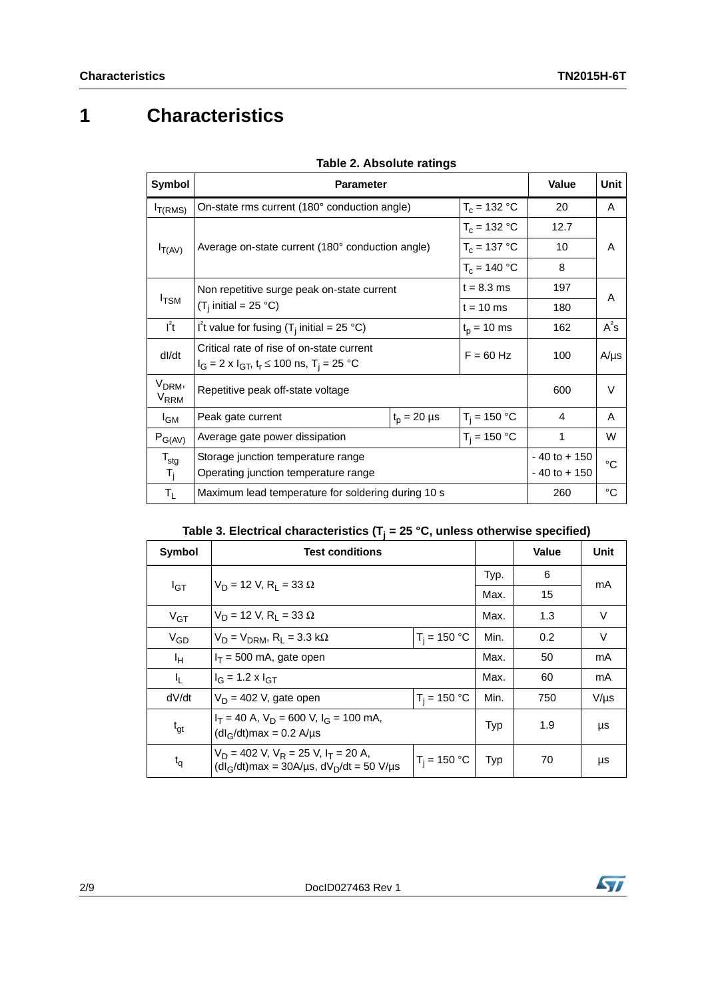# **1 Characteristics**

| Symbol                                 | <b>Parameter</b>                                                                                                      | Value          | Unit           |                                    |             |  |
|----------------------------------------|-----------------------------------------------------------------------------------------------------------------------|----------------|----------------|------------------------------------|-------------|--|
| $I_{T(RMS)}$                           | On-state rms current (180° conduction angle)                                                                          | $T_c = 132 °C$ | 20             | A                                  |             |  |
|                                        |                                                                                                                       |                | $T_c = 132 °C$ | 12.7                               |             |  |
| $I_{T(AV)}$                            | Average on-state current (180° conduction angle)                                                                      |                | $T_c = 137 °C$ | 10                                 | A           |  |
|                                        |                                                                                                                       |                | $T_c = 140 °C$ | 8                                  |             |  |
|                                        | Non repetitive surge peak on-state current                                                                            | 197            | A              |                                    |             |  |
| $I_{\rm TSM}$                          | $(T_i$ initial = 25 °C)<br>$t = 10$ ms                                                                                |                |                | 180                                |             |  |
| $I^2t$                                 | I't value for fusing $(T_i$ initial = 25 °C)<br>$t_{p}$ = 10 ms                                                       |                |                | 162                                | $A^2S$      |  |
| dl/dt                                  | Critical rate of rise of on-state current<br>$F = 60 Hz$<br>$I_G = 2 \times I_{GT}$ , $t_r \le 100$ ns, $T_i = 25$ °C |                |                | 100                                | $A/\mu s$   |  |
| V <sub>DRM</sub> ,<br>V <sub>RRM</sub> | Repetitive peak off-state voltage                                                                                     | 600            | $\vee$         |                                    |             |  |
| $I_{GM}$                               | $t_{p} = 20 \mu s$<br>Peak gate current                                                                               |                | $T_i = 150 °C$ | 4                                  | A           |  |
| $P_{G(AV)}$                            | $T_i = 150 °C$<br>Average gate power dissipation                                                                      |                |                | 1                                  | W           |  |
| $\mathsf{T}_{\textsf{stg}}$<br>$T_{j}$ | Storage junction temperature range<br>Operating junction temperature range                                            |                |                | $-40$ to $+150$<br>$-40$ to $+150$ | °C          |  |
| $T_{L}$                                | Maximum lead temperature for soldering during 10 s                                                                    |                |                | 260                                | $^{\circ}C$ |  |

|  | <b>Table 2. Absolute ratings</b> |  |
|--|----------------------------------|--|
|--|----------------------------------|--|

|  | Table 3. Electrical characteristics ( $T_i$ = 25 °C, unless otherwise specified) |  |  |  |
|--|----------------------------------------------------------------------------------|--|--|--|
|  |                                                                                  |  |  |  |

| Symbol   | <b>Test conditions</b>                                                                                |                |            | <b>Value</b> | Unit      |
|----------|-------------------------------------------------------------------------------------------------------|----------------|------------|--------------|-----------|
|          | $V_D = 12 V$ , R <sub>1</sub> = 33 $\Omega$                                                           |                | Typ.       | 6            | mA        |
| $I_{GT}$ |                                                                                                       | Max.           | 15         |              |           |
| $V_{GT}$ | $V_D = 12 V$ , R <sub>1</sub> = 33 $\Omega$                                                           |                | Max.       | 1.3          | V         |
| $V_{GD}$ | $V_D = V_{DRM}$ , R <sub>1</sub> = 3.3 k $\Omega$                                                     | $T_i = 150 °C$ | Min.       | 0.2          | V         |
| ŀн       | $I_T$ = 500 mA, gate open                                                                             |                |            | 50           | mA        |
| Ч.       | $I_G = 1.2 \times I_{GT}$                                                                             |                |            | 60           | mA        |
| dV/dt    | $V_D$ = 402 V, gate open                                                                              | $T_i = 150 °C$ | Min.       | 750          | $V/\mu s$ |
| $t_{gt}$ | $I_T$ = 40 A, $V_D$ = 600 V, $I_G$ = 100 mA,<br>$(dl_G/dt)$ max = 0.2 A/µs                            |                | Typ        | 1.9          | μs        |
| $t_{q}$  | $V_D = 402$ V, $V_R = 25$ V, $I_T = 20$ A,<br>$(dI_G/dt)$ max = 30A/µs, dV <sub>D</sub> /dt = 50 V/µs | $T_i = 150 °C$ | <b>Typ</b> | 70           | μs        |

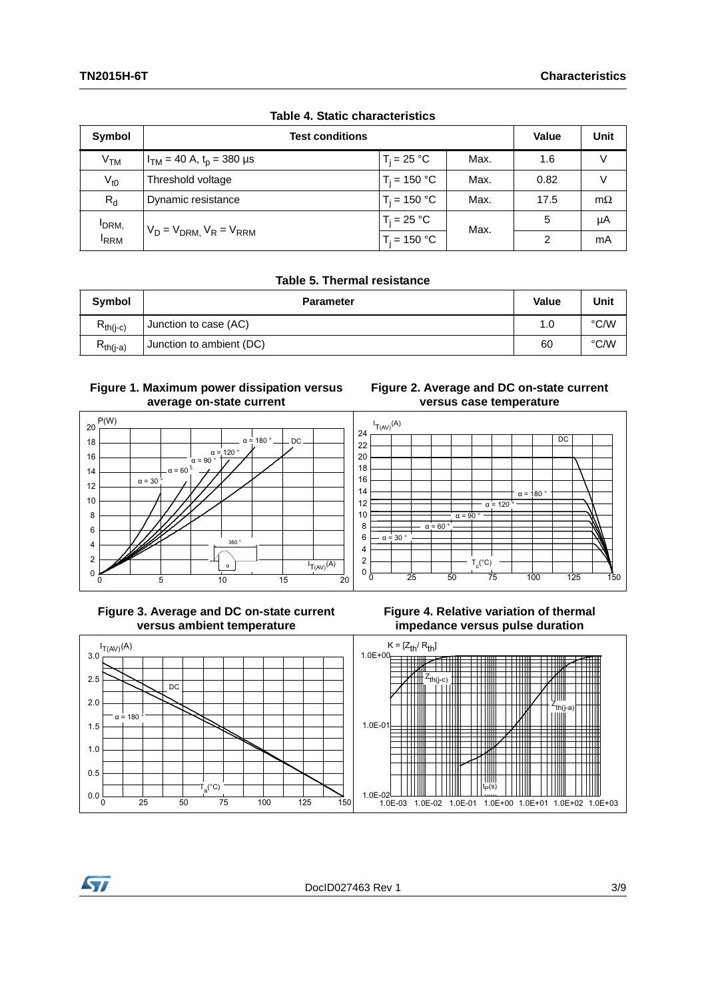| Symbol           | <b>Test conditions</b>            |                | <b>Value</b> | Unit          |           |
|------------------|-----------------------------------|----------------|--------------|---------------|-----------|
| V <sub>TM</sub>  | $I_{TM}$ = 40 A, $t_p$ = 380 µs   | $T_i = 25 °C$  | Max.         | 1.6           | $\vee$    |
| $V_{t0}$         | Threshold voltage                 | $T_i = 150 °C$ | Max.         | 0.82          | V         |
| $R_{d}$          | Dynamic resistance                | $T_i = 150 °C$ | Max.         | 17.5          | $m\Omega$ |
| IDRM,            |                                   | $T_i = 25 °C$  | Max.         | 5             | μA        |
| <sup>I</sup> RRM | $V_D = V_{DRM}$ , $V_R = V_{RRM}$ | $T_i = 150 °C$ |              | $\mathcal{P}$ | mA        |

#### **Table 4. Static characteristics**

#### **Table 5. Thermal resistance**

| Symbol        | <b>Parameter</b>         | Value | Unit |
|---------------|--------------------------|-------|------|
| $E_{th(i-c)}$ | Junction to case (AC)    | 1.0   | °C/W |
| $R_{th(i-a)}$ | Junction to ambient (DC) | 60    | °C/W |

#### **Figure 1. Maximum power dissipation versus average on-state current**



#### **Figure 2. Average and DC on-state current versus case temperature**



#### **Figure 3. Average and DC on-state current versus ambient temperature**





**Syl**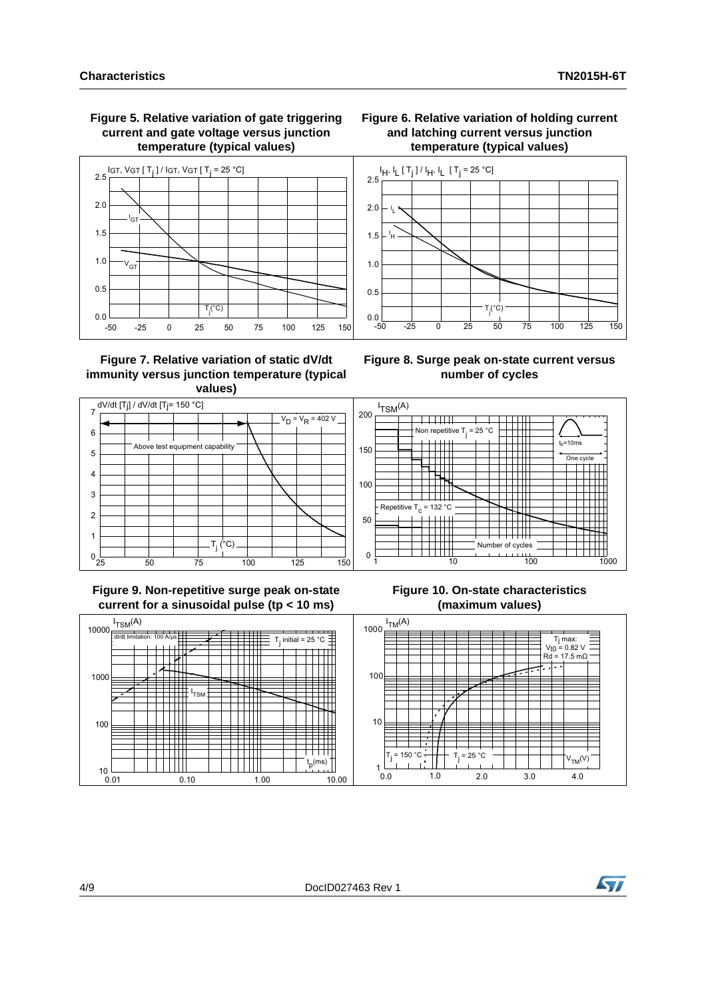**Figure 5. Relative variation of gate triggering current and gate voltage versus junction temperature (typical values)**



#### **Figure 7. Relative variation of static dV/dt immunity versus junction temperature (typical values)**

# **Figure 8. Surge peak on-state current versus**

-50 -25 0 25 50 75 100 125 150

T<sub>j</sub>(°C)

**Figure 6. Relative variation of holding current and latching current versus junction temperature (typical values)**

**number of cycles**



 $0.0$   $-50$ 

 $0.5$ 

 $1.0$ 

 $1.5$ 

, +

,  $\overline{L}$ 

եր, կլ [ Т<sub>ј</sub> ] / Լ<sub>Н</sub>, կլ [ Т<sub>ј</sub> = 25 °C]

 $2.0$ 

 $2.5$ 

#### **Figure 9. Non-repetitive surge peak on-state current for a sinusoidal pulse (tp < 10 ms)**

#### **Figure 10. On-state characteristics (maximum values)**



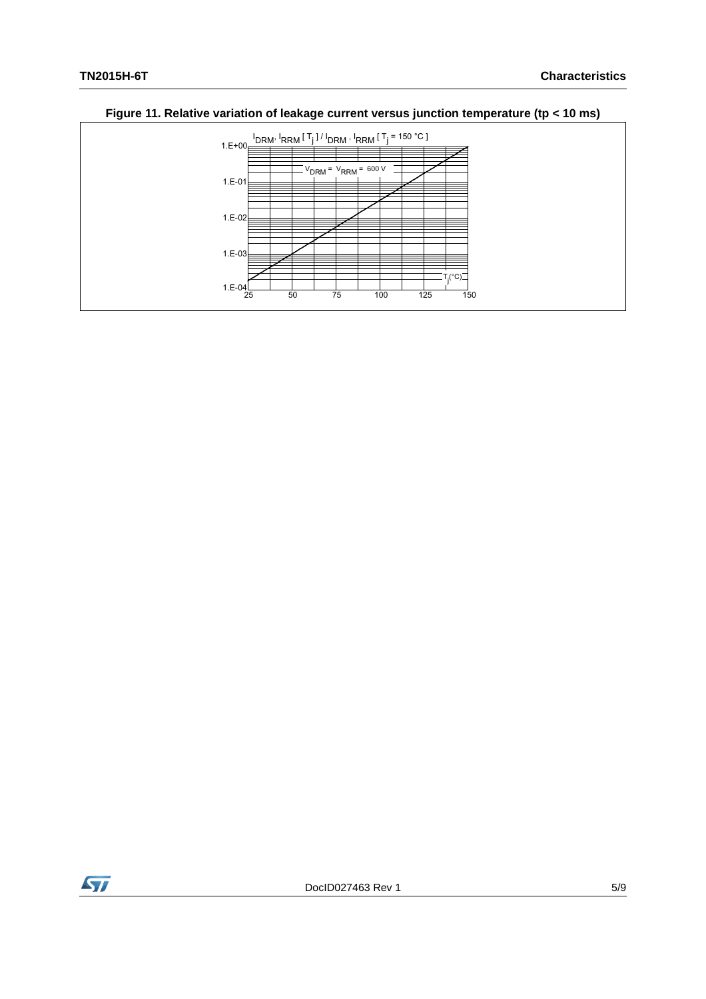

### **Figure 11. Relative variation of leakage current versus junction temperature (tp < 10 ms)**

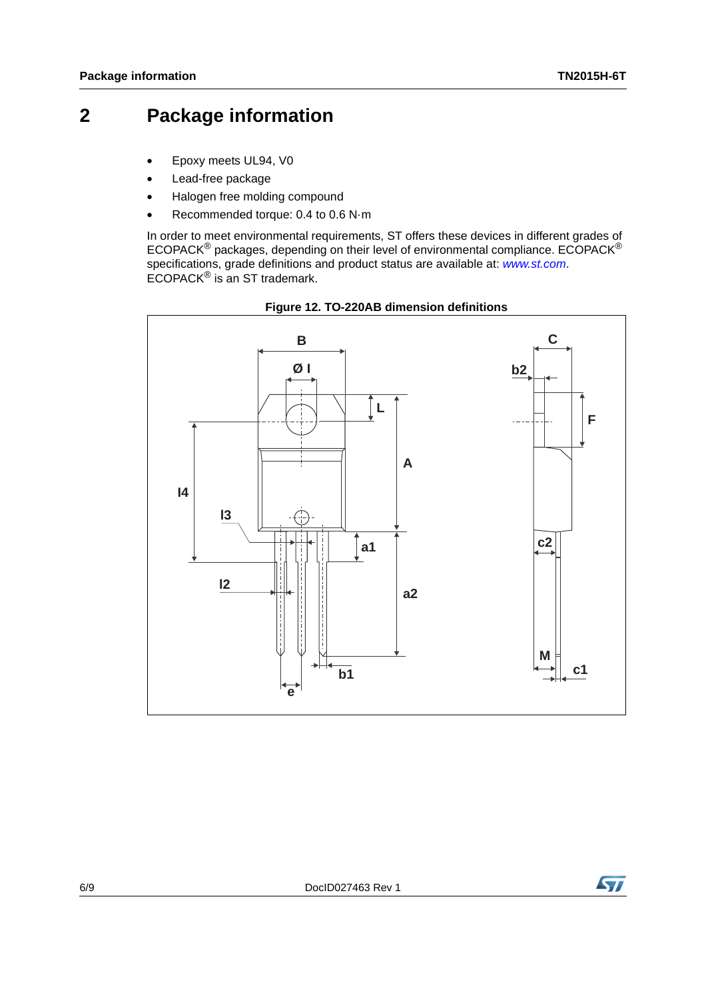### **2 Package information**

- Epoxy meets UL94, V0
- Lead-free package
- Halogen free molding compound
- Recommended torque: 0.4 to 0.6 N·m

In order to meet environmental requirements, ST offers these devices in different grades of ECOPACK $^{\circledR}$  packages, depending on their level of environmental compliance. ECOPACK $^{\circledR}$ specifications, grade definitions and product status are available at: *[www.st.com](http://www.st.com)*. ECOPACK® is an ST trademark.



**Figure 12. TO-220AB dimension definitions**

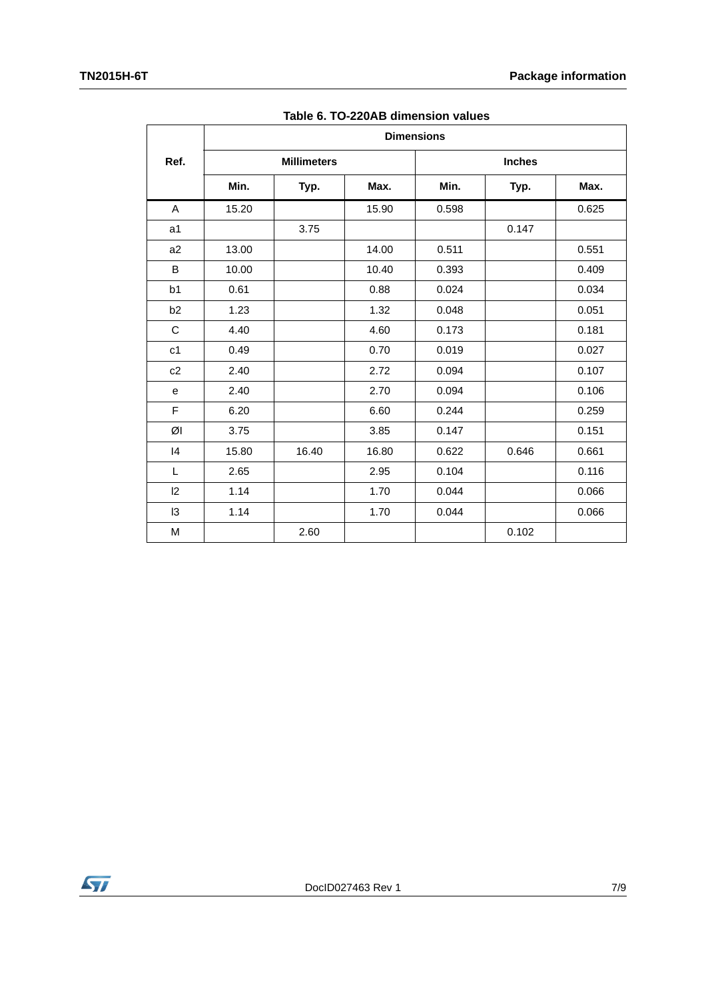|                | <b>Dimensions</b> |                    |       |       |               |       |  |
|----------------|-------------------|--------------------|-------|-------|---------------|-------|--|
| Ref.           |                   | <b>Millimeters</b> |       |       | <b>Inches</b> |       |  |
|                | Min.              | Typ.               | Max.  | Min.  | Typ.          | Max.  |  |
| A              | 15.20             |                    | 15.90 | 0.598 |               | 0.625 |  |
| a1             |                   | 3.75               |       |       | 0.147         |       |  |
| a <sub>2</sub> | 13.00             |                    | 14.00 | 0.511 |               | 0.551 |  |
| B              | 10.00             |                    | 10.40 | 0.393 |               | 0.409 |  |
| b <sub>1</sub> | 0.61              |                    | 0.88  | 0.024 |               | 0.034 |  |
| b2             | 1.23              |                    | 1.32  | 0.048 |               | 0.051 |  |
| $\mathsf C$    | 4.40              |                    | 4.60  | 0.173 |               | 0.181 |  |
| c <sub>1</sub> | 0.49              |                    | 0.70  | 0.019 |               | 0.027 |  |
| c2             | 2.40              |                    | 2.72  | 0.094 |               | 0.107 |  |
| e              | 2.40              |                    | 2.70  | 0.094 |               | 0.106 |  |
| F              | 6.20              |                    | 6.60  | 0.244 |               | 0.259 |  |
| ØI             | 3.75              |                    | 3.85  | 0.147 |               | 0.151 |  |
| 4              | 15.80             | 16.40              | 16.80 | 0.622 | 0.646         | 0.661 |  |
| L              | 2.65              |                    | 2.95  | 0.104 |               | 0.116 |  |
| 12             | 1.14              |                    | 1.70  | 0.044 |               | 0.066 |  |
| 13             | 1.14              |                    | 1.70  | 0.044 |               | 0.066 |  |
| M              |                   | 2.60               |       |       | 0.102         |       |  |

**Table 6. TO-220AB dimension values**

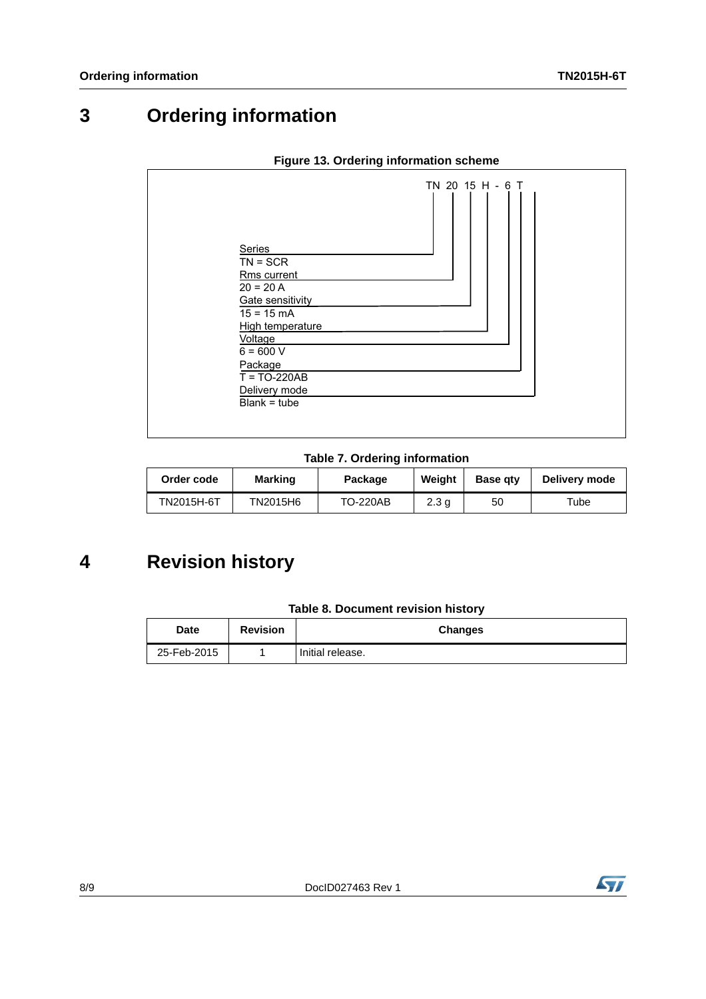## **3 Ordering information**

| Series<br>$TN = SCR$<br>Rms current<br>$20 = 20 A$<br>Gate sensitivity<br>$15 = 15 \text{ mA}$<br>High temperature<br>Voltage<br>$6 = 600 V$<br>Package<br>$T = TO-220AB$<br>Delivery mode<br>$Blank = tube$ | TN 20 15 H - 6 T |
|--------------------------------------------------------------------------------------------------------------------------------------------------------------------------------------------------------------|------------------|
|--------------------------------------------------------------------------------------------------------------------------------------------------------------------------------------------------------------|------------------|

#### **Figure 13. Ordering information scheme**

#### **Table 7. Ordering information**

| Order code | Marking  | Package         | Weight           | <b>Base gtv</b> | Delivery mode |
|------------|----------|-----------------|------------------|-----------------|---------------|
| TN2015H-6T | TN2015H6 | <b>TO-220AB</b> | 2.3 <sub>q</sub> | 50              | ™ube          |

# **4 Revision history**

| Table 8. Document revision history |  |  |  |  |
|------------------------------------|--|--|--|--|
|------------------------------------|--|--|--|--|

| Date        | <b>Revision</b> | Changes          |
|-------------|-----------------|------------------|
| 25-Feb-2015 |                 | Initial release. |